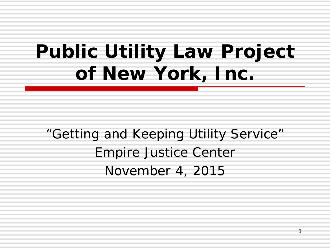# *Public Utility Law Project of New York, Inc.*

"Getting and Keeping Utility Service" Empire Justice Center November 4, 2015

1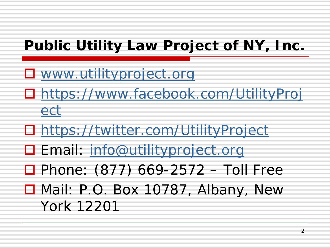#### **Public Utility Law Project of NY, Inc.**

- **D** [www.utilityproject.org](http://www.utilityproject.org/)
- [https://www.facebook.com/UtilityProj](https://www.facebook.com/UtilityProject) [ect](https://www.facebook.com/UtilityProject)
- <https://twitter.com/UtilityProject>
- □ Email: [info@utilityproject.org](mailto:info@utilityproject.org)
- $\Box$  Phone: (877) 669-2572 Toll Free
- Mail: P.O. Box 10787, Albany, New York 12201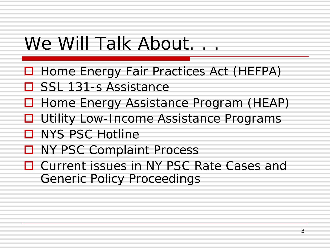## We Will Talk About. . .

- □ Home Energy Fair Practices Act (HEFPA)
- □ SSL 131-s Assistance
- □ Home Energy Assistance Program (HEAP)
- **□** Utility Low-Income Assistance Programs
- □ NYS PSC Hotline
- **□ NY PSC Complaint Process**
- **□ Current issues in NY PSC Rate Cases and** Generic Policy Proceedings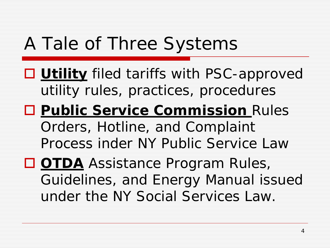## A Tale of Three Systems

- **Utility** filed tariffs with PSC-approved utility rules, practices, procedures
- **Public Service Commission** Rules Orders, Hotline, and Complaint Process inder NY Public Service Law
- **OTDA** Assistance Program Rules, Guidelines, and Energy Manual issued under the NY Social Services Law.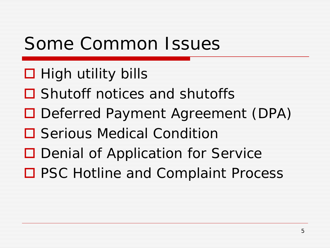## Some Common Issues

- $\Box$  High utility bills
- **□** Shutoff notices and shutoffs
- □ Deferred Payment Agreement (DPA)
- **□** Serious Medical Condition
- **□** Denial of Application for Service
- □ PSC Hotline and Complaint Process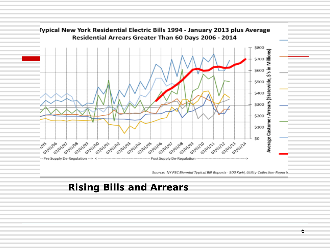

#### **Rising Bills and Arrears**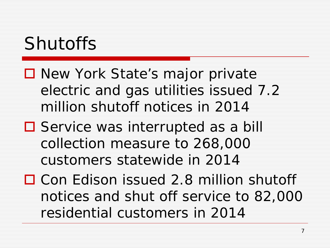## Shutoffs

- New York State's major private electric and gas utilities issued 7.2 million shutoff notices in 2014
- **□** Service was interrupted as a bill collection measure to 268,000 customers statewide in 2014
- □ Con Edison issued 2.8 million shutoff notices and shut off service to 82,000 residential customers in 2014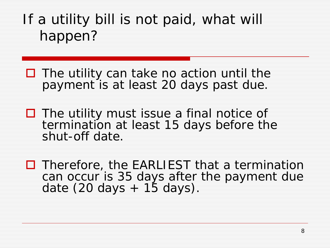If a utility bill is not paid, what will happen?

- The utility can take *no action* until the payment is at least 20 days past due.
- $\Box$  The utility must issue a final notice of termination at least 15 days before the shut-off date.
- $\Box$  Therefore, the EARLIEST that a termination can occur is 35 days after the payment due date  $(20 \text{ days} + 15 \text{ days}).$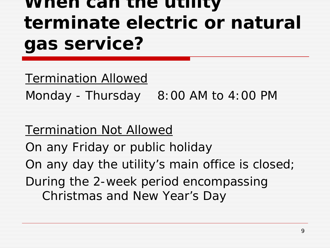## *When can the utility terminate electric or natural gas service?*

Termination Allowed

Monday - Thursday  $8:00$  AM to 4:00 PM

Termination Not Allowed On any Friday or public holiday On any day the utility's main office is closed; During the 2-week period encompassing Christmas and New Year's Day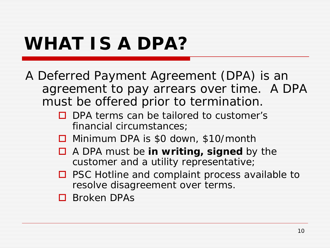## *WHAT IS A DPA?*

A Deferred Payment Agreement (DPA) is an agreement to pay arrears over time. A DPA must be offered prior to termination.

- $\Box$  DPA terms can be tailored to customer's financial circumstances;
- □ Minimum DPA is \$0 down, \$10/month
- A DPA must be *in writing, signed* by the customer and a utility representative;
- $\Box$  PSC Hotline and complaint process available to resolve disagreement over terms.

**D** Broken DPAs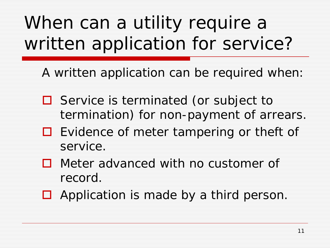## When can a utility require a written application for service?

A written application can be required when:

- $\Box$  Service is terminated (or subject to termination) for non-payment of arrears.
- $\Box$  Evidence of meter tampering or theft of service.
- □ Meter advanced with no customer of record.
- $\Box$  Application is made by a third person.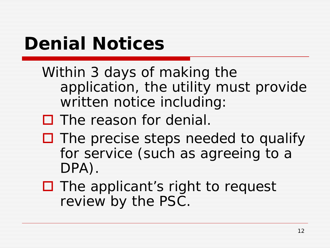## *Denial Notices*

- Within 3 days of making the application, the utility must provide written notice including:
- $\Box$  The reason for denial.
- $\Box$  The precise steps needed to qualify for service (such as agreeing to a DPA).
- $\Box$  The applicant's right to request review by the PSC.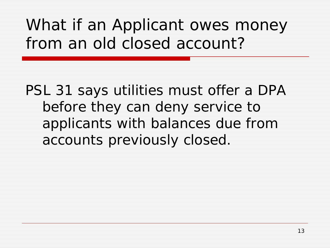#### What if an Applicant owes money from an old closed account?

PSL 31 says utilities must offer a DPA before they can deny service to applicants with balances due from accounts previously closed.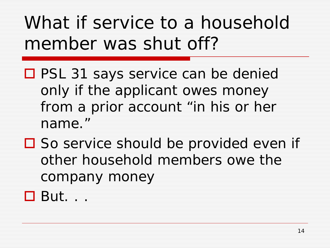## What if service to a household member was shut off?

- PSL 31 says service can be denied only if the applicant owes money from a prior account "in his or her name."
- $\square$  So service should be provided even if other household members owe the company money
- But. . .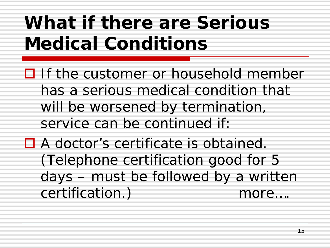## *What if there are Serious Medical Conditions*

- $\Box$  If the customer or household member has a serious medical condition that will be worsened by termination, service can be continued if:
- A doctor's certificate is obtained. (Telephone certification good for 5 days – must be followed by a written certification.) more….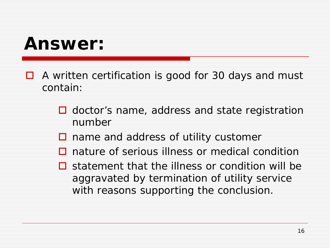#### *Answer:*

- $\Box$  A written certification is good for 30 days and must contain:
	- $\Box$  doctor's name, address and state registration number
	- $\Box$  name and address of utility customer
	- **□** nature of serious illness or medical condition
	- $\Box$  statement that the illness or condition will be aggravated by termination of utility service with reasons supporting the conclusion.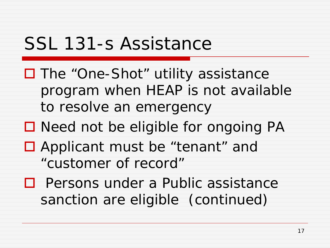## SSL 131-s Assistance

- □ The "One-Shot" utility assistance program when HEAP is not available to resolve an emergency
- $\Box$  Need not be eligible for ongoing PA
- Applicant must be "tenant" and "customer of record"
- $\Box$  Persons under a Public assistance sanction are eligible (continued)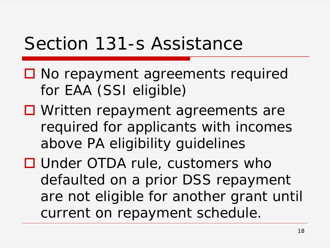#### Section 131-s Assistance

- No repayment agreements required for EAA (SSI eligible)
- □ Written repayment agreements are required for applicants with incomes above PA eligibility guidelines
- □ Under OTDA rule, customers who defaulted on a prior DSS repayment are not eligible for another grant until current on repayment schedule.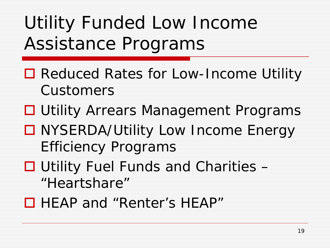## Utility Funded Low Income Assistance Programs

- Reduced Rates for Low-Income Utility Customers
- **□ Utility Arrears Management Programs**
- □ NYSERDA/Utility Low Income Energy Efficiency Programs
- $\Box$  Utility Fuel Funds and Charities  $-$ "Heartshare"
- □ HEAP and "Renter's HEAP"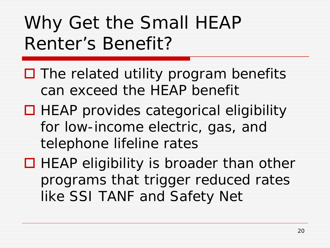## Why Get the Small HEAP Renter's Benefit?

- $\Box$  The related utility program benefits can exceed the HEAP benefit
- $\Box$  HEAP provides categorical eligibility for low-income electric, gas, and telephone lifeline rates
- $\Box$  HEAP eligibility is broader than other programs that trigger reduced rates like SSI TANF and Safety Net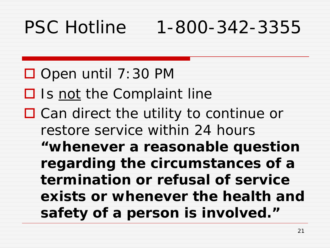## PSC Hotline 1-800-342-3355

 $\Box$  Open until 7:30 PM  $\Box$  Is not the Complaint line  $\Box$  Can direct the utility to continue or restore service within 24 hours **"***whenever a reasonable question regarding the circumstances of a termination or refusal of service exists or whenever the health and safety of a person is involved."*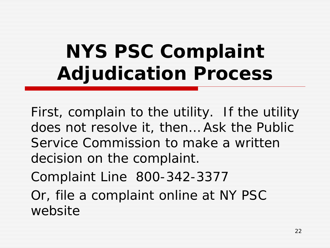# **NYS PSC Complaint Adjudication Process**

First, complain to the utility. If the utility does not resolve it, then… Ask the Public Service Commission to make a written decision on the complaint.

Complaint Line 800-342-3377

Or, file a complaint online at NY PSC website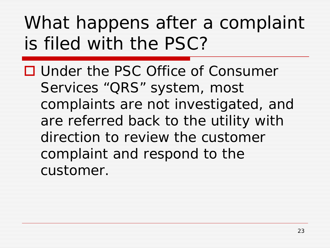## What happens after a complaint is filed with the PSC?

■ Under the PSC Office of Consumer Services "QRS" system, most complaints are not investigated, and are referred back to the utility with direction to review the customer complaint and respond to the customer.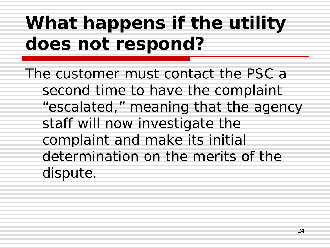# *What happens if the utility does not respond?*

The customer must contact the PSC a second time to have the complaint "escalated," meaning that the agency staff will now investigate the complaint and make its initial determination on the merits of the dispute.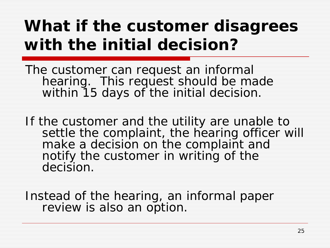#### *What if the customer disagrees with the initial decision?*

The customer can request an informal hearing. This request should be made within 15 days of the initial decision.

If the customer and the utility are unable to settle the complaint, the hearing officer will make a decision on the complaint and notify the customer in writing of the decision.

Instead of the hearing, an informal paper review is also an option.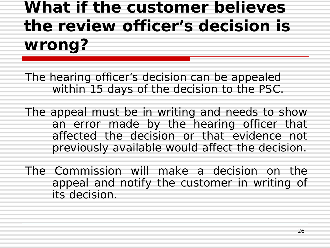## *What if the customer believes the review officer's decision is wrong?*

The hearing officer's decision can be appealed within 15 days of the decision to the PSC.

The appeal must be in writing and needs to show an error made by the hearing officer that affected the decision or that evidence not previously available would affect the decision.

The Commission will make a decision on the appeal and notify the customer in writing of its decision.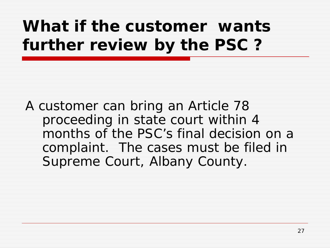#### *What if the customer wants further review by the PSC ?*

A customer can bring an Article 78 proceeding in state court within 4 months of the PSC's final decision on a complaint. The cases must be filed in Supreme Court, Albany County.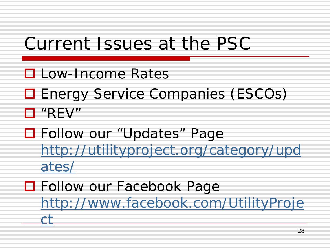#### Current Issues at the PSC

- **Low-Income Rates**
- **□ Energy Service Companies (ESCOs)** "REV"
- Follow our "Updates" Page [http://utilityproject.org/category/upd](http://utilityproject.org/category/updates/) [ates/](http://utilityproject.org/category/updates/)
- Follow our Facebook Page [http://www.facebook.com/UtilityProje](http://www.facebook.com/UtilityProject) [ct](http://www.facebook.com/UtilityProject)